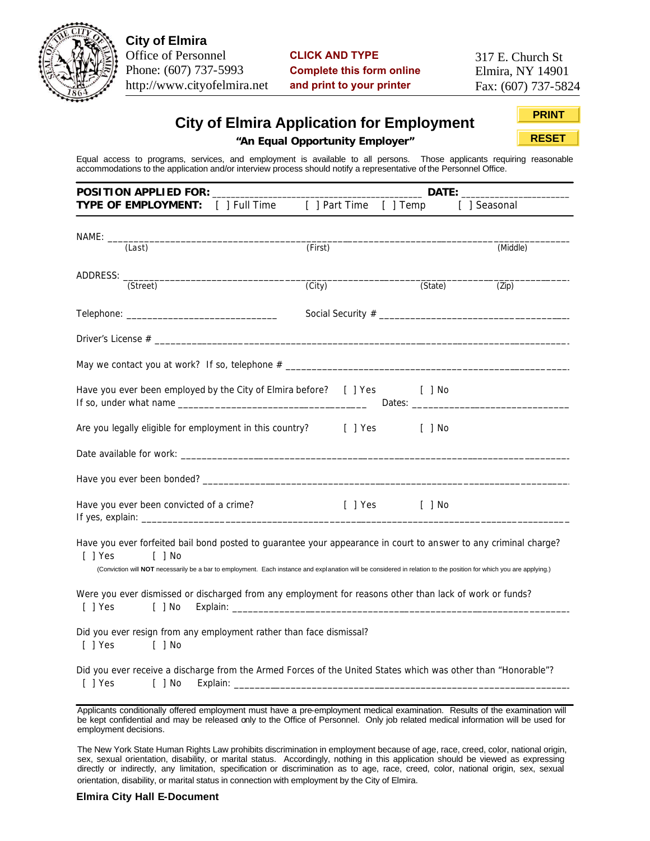

**City of Elmira** Office of Personnel Phone: (607) 737-5993 http://www.cityofelmira.net

**CLICK AND TYPE Complete this form online and print to your printer**

317 E. Church St Elmira, NY 14901 Fax: (607) 737-5824

# **City of Elmira Application for Employment**

**PRINT RESET**

**"An Equal Opportunity Employer"**

Equal access to programs, services, and employment is available to all persons. Those applicants requiring reasonable accommodations to the application and/or interview process should notify a representative of the Personnel Office.

| <b>POSITION APPLIED FOR:</b>                                                                                                                                                                                                                                                                                    |         | DATE:        |              |  |
|-----------------------------------------------------------------------------------------------------------------------------------------------------------------------------------------------------------------------------------------------------------------------------------------------------------------|---------|--------------|--------------|--|
| TYPE OF EMPLOYMENT: [ ] Full Time [ ] Part Time [ ] Temp                                                                                                                                                                                                                                                        |         |              | [ ] Seasonal |  |
| (Last)                                                                                                                                                                                                                                                                                                          | (First) |              | (Middle)     |  |
| (Street)                                                                                                                                                                                                                                                                                                        | (City)  | (State)      | (Zip)        |  |
|                                                                                                                                                                                                                                                                                                                 |         |              |              |  |
|                                                                                                                                                                                                                                                                                                                 |         |              |              |  |
|                                                                                                                                                                                                                                                                                                                 |         |              |              |  |
| Have you ever been employed by the City of Elmira before? [ ] Yes [ ] No                                                                                                                                                                                                                                        |         |              |              |  |
| Are you legally eligible for employment in this country? [ ] Yes [ ] No                                                                                                                                                                                                                                         |         |              |              |  |
|                                                                                                                                                                                                                                                                                                                 |         |              |              |  |
|                                                                                                                                                                                                                                                                                                                 |         |              |              |  |
| Have you ever been convicted of a crime?                                                                                                                                                                                                                                                                        |         | [] Yes [] No |              |  |
| Have you ever forfeited bail bond posted to guarantee your appearance in court to answer to any criminal charge?<br>$[$ ] Yes<br>$[$ ] No<br>(Conviction will NOT necessarily be a bar to employment. Each instance and explanation will be considered in relation to the position for which you are applying.) |         |              |              |  |
| Were you ever dismissed or discharged from any employment for reasons other than lack of work or funds?<br>[ ] Yes<br>$[$ ] No                                                                                                                                                                                  |         |              |              |  |
| Did you ever resign from any employment rather than face dismissal?<br>$[$ ] Yes<br>$[$ ] No                                                                                                                                                                                                                    |         |              |              |  |
| Did you ever receive a discharge from the Armed Forces of the United States which was other than "Honorable"?<br>$[$ $]$ No<br>[ ] Yes                                                                                                                                                                          |         |              |              |  |

Applicants conditionally offered employment must have a pre-employment medical examination. Results of the examination will be kept confidential and may be released only to the Office of Personnel. Only job related medical information will be used for employment decisions.

The New York State Human Rights Law prohibits discrimination in employment because of age, race, creed, color, national origin, sex, sexual orientation, disability, or marital status. Accordingly, nothing in this application should be viewed as expressing directly or indirectly, any limitation, specification or discrimination as to age, race, creed, color, national origin, sex, sexual orientation, disability, or marital status in connection with employment by the City of Elmira.

## **Elmira City Hall E-Document**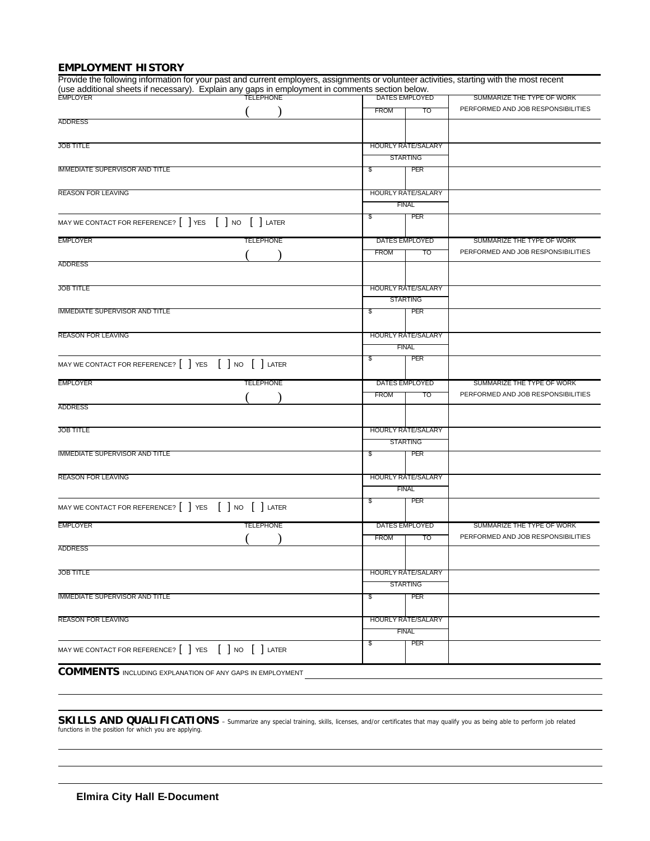# **EMPLOYMENT HISTORY**

| Provide the following information for your past and current employers, assignments or volunteer activities, starting with the most recent<br>(use additional sheets if necessary). Explain any gaps in employment in comments section below.<br>EMPLOYER   DATES EMPLOYE |             |                           |                                    |
|--------------------------------------------------------------------------------------------------------------------------------------------------------------------------------------------------------------------------------------------------------------------------|-------------|---------------------------|------------------------------------|
|                                                                                                                                                                                                                                                                          |             | DATES EMPLOYED            | SUMMARIZE THE TYPE OF WORK         |
| <b>ADDRESS</b>                                                                                                                                                                                                                                                           | <b>FROM</b> | TO                        | PERFORMED AND JOB RESPONSIBILITIES |
|                                                                                                                                                                                                                                                                          |             |                           |                                    |
| <b>JOB TITLE</b>                                                                                                                                                                                                                                                         |             | <b>HOURLY RATE/SALARY</b> |                                    |
|                                                                                                                                                                                                                                                                          |             | <b>STARTING</b>           |                                    |
| <b>IMMEDIATE SUPERVISOR AND TITLE</b>                                                                                                                                                                                                                                    | \$          | PER                       |                                    |
| <b>REASON FOR LEAVING</b>                                                                                                                                                                                                                                                |             | <b>HOURLY RATE/SALARY</b> |                                    |
|                                                                                                                                                                                                                                                                          |             | <b>FINAL</b>              |                                    |
| MAY WE CONTACT FOR REFERENCE?     YES     NO     LATER                                                                                                                                                                                                                   | \$          | PER                       |                                    |
| <b>EMPLOYER</b><br><b>TELEPHONE</b>                                                                                                                                                                                                                                      |             | DATES EMPLOYED            | SUMMARIZE THE TYPE OF WORK         |
|                                                                                                                                                                                                                                                                          | <b>FROM</b> | то                        | PERFORMED AND JOB RESPONSIBILITIES |
| <b>ADDRESS</b>                                                                                                                                                                                                                                                           |             |                           |                                    |
| <b>JOB TITLE</b>                                                                                                                                                                                                                                                         |             | HOURLY RATE/SALARY        |                                    |
|                                                                                                                                                                                                                                                                          |             | <b>STARTING</b>           |                                    |
| <b>IMMEDIATE SUPERVISOR AND TITLE</b>                                                                                                                                                                                                                                    | \$          | PER                       |                                    |
| <b>REASON FOR LEAVING</b>                                                                                                                                                                                                                                                |             | <b>HOURLY RATE/SALARY</b> |                                    |
|                                                                                                                                                                                                                                                                          |             | <b>FINAL</b>              |                                    |
| MAY WE CONTACT FOR REFERENCE? [ ] YES [ ] NO [ ] LATER                                                                                                                                                                                                                   | \$          | PER                       |                                    |
| <b>EMPLOYER</b><br><b>TELEPHONE</b>                                                                                                                                                                                                                                      |             | DATES EMPLOYED            | SUMMARIZE THE TYPE OF WORK         |
|                                                                                                                                                                                                                                                                          | <b>FROM</b> | то                        | PERFORMED AND JOB RESPONSIBILITIES |
| <b>ADDRESS</b>                                                                                                                                                                                                                                                           |             |                           |                                    |
| <b>JOB TITLE</b>                                                                                                                                                                                                                                                         |             | <b>HOURLY RATE/SALARY</b> |                                    |
|                                                                                                                                                                                                                                                                          |             | <b>STARTING</b>           |                                    |
| <b>IMMEDIATE SUPERVISOR AND TITLE</b>                                                                                                                                                                                                                                    | \$          | PER                       |                                    |
| <b>REASON FOR LEAVING</b>                                                                                                                                                                                                                                                |             | <b>HOURLY RATE/SALARY</b> |                                    |
|                                                                                                                                                                                                                                                                          |             | <b>FINAL</b>              |                                    |
| MAY WE CONTACT FOR REFERENCE? [ ] YES [ ] NO [ ] LATER                                                                                                                                                                                                                   | \$          | PER                       |                                    |
| <b>TELEPHONE</b><br><b>EMPLOYER</b>                                                                                                                                                                                                                                      |             | DATES EMPLOYED            | SUMMARIZE THE TYPE OF WORK         |
|                                                                                                                                                                                                                                                                          | <b>FROM</b> | то                        | PERFORMED AND JOB RESPONSIBILITIES |
| <b>ADDRESS</b>                                                                                                                                                                                                                                                           |             |                           |                                    |
| <b>JOB TITLE</b>                                                                                                                                                                                                                                                         |             | <b>HOURLY RATE/SALARY</b> |                                    |
|                                                                                                                                                                                                                                                                          |             | <b>STARTING</b>           |                                    |
| <b>IMMEDIATE SUPERVISOR AND TITLE</b>                                                                                                                                                                                                                                    | \$          | PER                       |                                    |
| <b>REASON FOR LEAVING</b>                                                                                                                                                                                                                                                |             | <b>HOURLY RATE/SALARY</b> |                                    |
|                                                                                                                                                                                                                                                                          |             | <b>FINAL</b>              |                                    |
|                                                                                                                                                                                                                                                                          | \$          | PER                       |                                    |
| MAY WE CONTACT FOR REFERENCE? [ ] YES [ ] NO [ ] LATER                                                                                                                                                                                                                   |             |                           |                                    |

SKILLS AND QUALIFICATIONS - Summarize any special training, skills, licenses, and/or certificates that may qualify you as being able to perform job related functions in the position for which you are applying.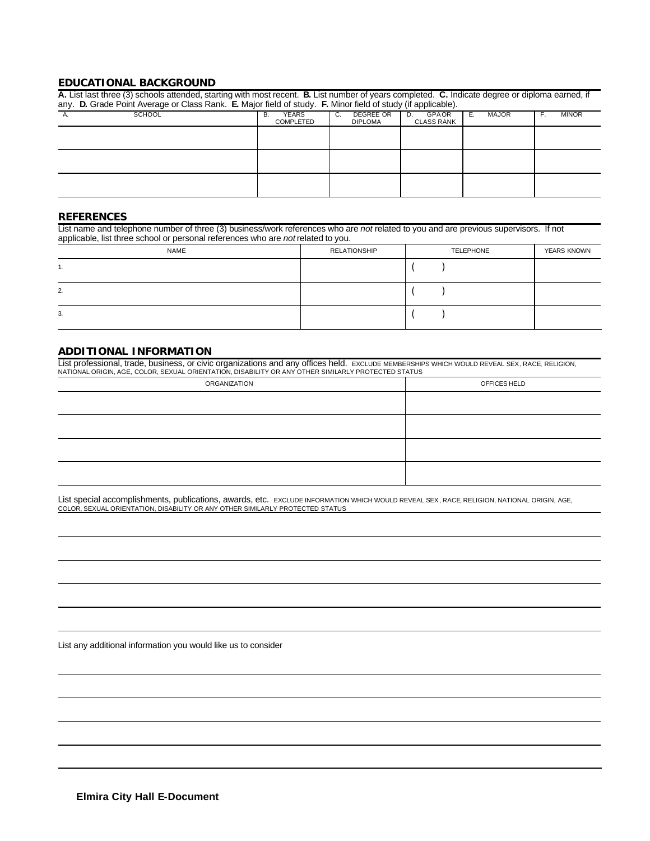#### **EDUCATIONAL BACKGROUND**

| A. List last three (3) schools attended, starting with most recent. B. List number of years completed. C. Indicate degree or diploma earned, if<br>any. D. Grade Point Average or Class Rank. E. Major field of study. F. Minor field of study (if applicable). |                                        |                                   |                                  |                    |                    |
|-----------------------------------------------------------------------------------------------------------------------------------------------------------------------------------------------------------------------------------------------------------------|----------------------------------------|-----------------------------------|----------------------------------|--------------------|--------------------|
| <b>SCHOOL</b>                                                                                                                                                                                                                                                   | <b>YEARS</b><br>В.<br><b>COMPLETED</b> | DEGREE OR<br>C.<br><b>DIPLOMA</b> | GPAOR<br>D.<br><b>CLASS RANK</b> | <b>MAJOR</b><br>Е. | <b>MINOR</b><br>F. |
|                                                                                                                                                                                                                                                                 |                                        |                                   |                                  |                    |                    |
|                                                                                                                                                                                                                                                                 |                                        |                                   |                                  |                    |                    |
|                                                                                                                                                                                                                                                                 |                                        |                                   |                                  |                    |                    |

#### **REFERENCES**

List name and telephone number of three (3) business/work references who are *not* related to you and are previous supervisors. If not applicable, list three school or personal references who are *not* related to you.

|     | NAME | RELATIONSHIP | <b>TELEPHONE</b> | <b>YEARS KNOWN</b> |
|-----|------|--------------|------------------|--------------------|
| . . |      |              |                  |                    |
| 2.  |      |              |                  |                    |
| 3.  |      |              |                  |                    |

# **ADDITIONAL INFORMATION**

List professional, trade, business, or civic organizations and any offices held. ExcLUDE MEMBERSHIPS WHICH WOULD REVEAL SEX, RACE, RELIGION,<br>NATIONAL ORIGIN, AGE, COLOR, SEXUAL ORIENTATION, DISABILITY OR ANY OTHER SIMILARL

| ORGANIZATION | OFFICES HELD |
|--------------|--------------|
|              |              |
|              |              |
|              |              |
|              |              |

List special accomplishments, publications, awards, etc. EXCLUDE INFORMATION WHICH WOULD REVEAL SEX, RACE, RELIGION, NATIONAL ORIGIN, AGE, COLOR, SEXUAL ORIENTATION, DISABILITY OR ANY OTHER SIMILARLY PROTECTED STATUS

List any additional information you would like us to consider

**Elmira City Hall E-Document**